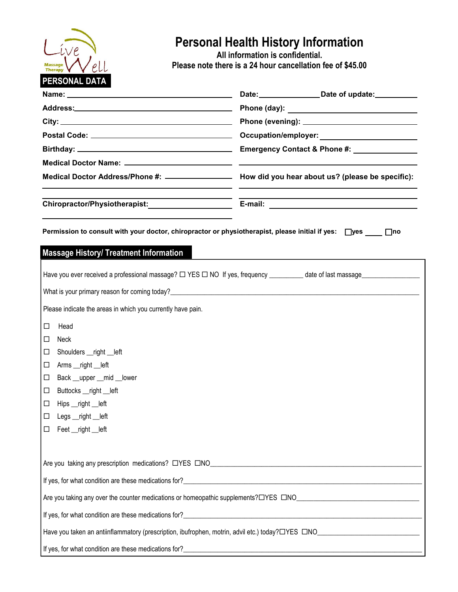

## **Personal Health History Information**

**All information is confidential. Please note there is a 24 hour cancellation fee of \$45.00**

|                                                                                                           | Date: Date of update:                                                                                |  |  |  |
|-----------------------------------------------------------------------------------------------------------|------------------------------------------------------------------------------------------------------|--|--|--|
|                                                                                                           |                                                                                                      |  |  |  |
|                                                                                                           |                                                                                                      |  |  |  |
|                                                                                                           |                                                                                                      |  |  |  |
|                                                                                                           | Emergency Contact & Phone #: _______________                                                         |  |  |  |
|                                                                                                           |                                                                                                      |  |  |  |
|                                                                                                           | Medical Doctor Address/Phone #: ___________________ How did you hear about us? (please be specific): |  |  |  |
| Chiropractor/Physiotherapist:_____________________                                                        |                                                                                                      |  |  |  |
| Permission to consult with your doctor, chiropractor or physiotherapist, please initial if yes: □yes □□no |                                                                                                      |  |  |  |
| <b>Massage History/ Treatment Information</b>                                                             |                                                                                                      |  |  |  |
|                                                                                                           |                                                                                                      |  |  |  |
|                                                                                                           |                                                                                                      |  |  |  |
| Please indicate the areas in which you currently have pain.                                               |                                                                                                      |  |  |  |
| Head<br>$\Box$                                                                                            |                                                                                                      |  |  |  |
| Neck<br>□                                                                                                 |                                                                                                      |  |  |  |
| П<br>Shoulders __right __left                                                                             |                                                                                                      |  |  |  |
| Arms __right __left<br>$\Box$                                                                             |                                                                                                      |  |  |  |
| Back __upper __mid __lower<br>$\Box$                                                                      |                                                                                                      |  |  |  |
| Buttocks __right __left<br>$\Box$                                                                         |                                                                                                      |  |  |  |
| $\Box$<br>Hips __right __left                                                                             |                                                                                                      |  |  |  |
| $\Box$ Legs __right __left                                                                                |                                                                                                      |  |  |  |
| Feet __right __left<br>□                                                                                  |                                                                                                      |  |  |  |
|                                                                                                           |                                                                                                      |  |  |  |
|                                                                                                           |                                                                                                      |  |  |  |
|                                                                                                           |                                                                                                      |  |  |  |
|                                                                                                           |                                                                                                      |  |  |  |
|                                                                                                           |                                                                                                      |  |  |  |
|                                                                                                           |                                                                                                      |  |  |  |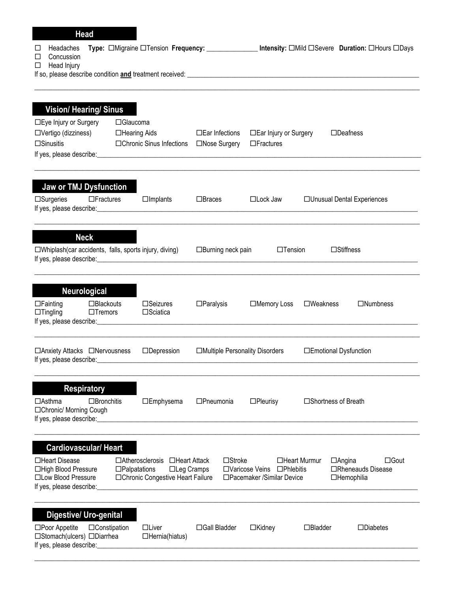| <b>Head</b>                                                                                                               |                                    |                            |                                                                                            |                                 |                                                          |                                |                                                  |
|---------------------------------------------------------------------------------------------------------------------------|------------------------------------|----------------------------|--------------------------------------------------------------------------------------------|---------------------------------|----------------------------------------------------------|--------------------------------|--------------------------------------------------|
| Headaches<br>⊔<br>Concussion<br>П<br>Head Injury<br>□                                                                     |                                    |                            |                                                                                            |                                 |                                                          |                                |                                                  |
| <b>Vision/ Hearing/ Sinus</b><br>□Eye Injury or Surgery<br>□Vertigo (dizziness)                                           |                                    | □Glaucoma<br>□Hearing Aids |                                                                                            | $\square$ Ear Infections        | □ Ear Injury or Surgery                                  |                                | $\square$ Deafness                               |
| $\square$ Sinusitis                                                                                                       |                                    |                            | □Chronic Sinus Infections                                                                  | □Nose Surgery                   | $\Box$ Fractures                                         |                                |                                                  |
| Jaw or TMJ Dysfunction<br>$\square$ Surgeries                                                                             | $\Box$ Fractures                   |                            | $\Box$ Implants                                                                            | $\Box$ Braces                   | $\Box$ Lock Jaw                                          |                                | □ Unusual Dental Experiences                     |
| <b>Neck</b><br>□Whiplash(car accidents, falls, sports injury, diving)                                                     |                                    |                            |                                                                                            | $\Box$ Burning neck pain        | $\Box$ Tension                                           |                                | $\square$ Stiffness                              |
| <b>Neurological</b><br>$\Box$ Fainting<br>$\Box$ Tingling                                                                 | $\Box$ Blackouts<br>$\Box$ Tremors |                            | $\square$ Seizures<br>$\square$ Sciatica                                                   | $\Box$ Paralysis                | □Memory Loss                                             | $\square$ Weakness             | $\Box$ Numbness                                  |
| □ Anxiety Attacks □ Nervousness<br>If yes, please describe:                                                               |                                    |                            | $\Box$ Depression                                                                          | □Multiple Personality Disorders |                                                          | □Emotional Dysfunction         |                                                  |
| <b>Respiratory</b><br>⊟Asthma<br>□Chronic/ Morning Cough<br>If yes, please describe:                                      | $\Box$ Bronchitis                  |                            | $\square$ Emphysema                                                                        | $\square$ Pneumonia             | $\Box$ Pleurisy                                          | □Shortness of Breath           |                                                  |
| <b>Cardiovascular/ Heart</b><br>□Heart Disease<br>□High Blood Pressure<br>□Low Blood Pressure<br>If yes, please describe: |                                    | $\Box$ Palpatations        | □ Atherosclerosis □ Heart Attack<br>$\Box$ Leg Cramps<br>□Chronic Congestive Heart Failure | $\square$ Stroke                | □Varicose Veins □Phlebitis<br>□Pacemaker /Similar Device | □Heart Murmur<br>$\Box$ Angina | $\Box$ Gout<br>□Rheneauds Disease<br>□Hemophilia |
| <b>Digestive/ Uro-genital</b><br>$\square$ Poor Appetite<br>□Stomach(ulcers) □Diarrhea<br>If yes, please describe:        | $\Box$ Constipation                |                            | $\Box$ Liver<br>$\Box$ Hernia(hiatus)                                                      | □Gall Bladder                   | $\Box$ Kidney                                            | $\Box$ Bladder                 | $\square$ Diabetes                               |